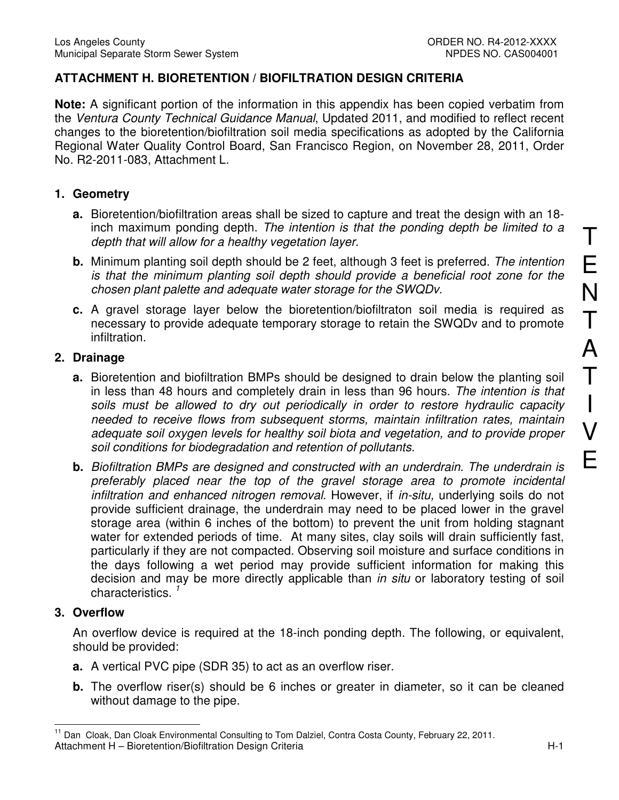## **ATTACHMENT H. BIORETENTION / BIOFILTRATION DESIGN CRITERIA**

**Note:** A significant portion of the information in this appendix has been copied verbatim from the Ventura County Technical Guidance Manual, Updated 2011, and modified to reflect recent changes to the bioretention/biofiltration soil media specifications as adopted by the California Regional Water Quality Control Board, San Francisco Region, on November 28, 2011, Order No. R2-2011-083, Attachment L.

#### **1. Geometry**

- **a.** Bioretention/biofiltration areas shall be sized to capture and treat the design with an 18 inch maximum ponding depth. The intention is that the ponding depth be limited to a depth that will allow for a healthy vegetation layer.
- **b.** Minimum planting soil depth should be 2 feet, although 3 feet is preferred. The intention is that the minimum planting soil depth should provide a beneficial root zone for the chosen plant palette and adequate water storage for the SWQDv.
- **c.** A gravel storage layer below the bioretention/biofiltraton soil media is required as necessary to provide adequate temporary storage to retain the SWQDv and to promote infiltration.

## **2. Drainage**

- **a.** Bioretention and biofiltration BMPs should be designed to drain below the planting soil in less than 48 hours and completely drain in less than 96 hours. The intention is that soils must be allowed to dry out periodically in order to restore hydraulic capacity needed to receive flows from subsequent storms, maintain infiltration rates, maintain adequate soil oxygen levels for healthy soil biota and vegetation, and to provide proper soil conditions for biodegradation and retention of pollutants.
- **b.** Biofiltration BMPs are designed and constructed with an underdrain. The underdrain is preferably placed near the top of the gravel storage area to promote incidental infiltration and enhanced nitrogen removal. However, if in-situ, underlying soils do not provide sufficient drainage, the underdrain may need to be placed lower in the gravel storage area (within 6 inches of the bottom) to prevent the unit from holding stagnant water for extended periods of time. At many sites, clay soils will drain sufficiently fast, particularly if they are not compacted. Observing soil moisture and surface conditions in the days following a wet period may provide sufficient information for making this decision and may be more directly applicable than *in situ* or laboratory testing of soil characteristics.<sup>1</sup>

## **3. Overflow**

An overflow device is required at the 18-inch ponding depth. The following, or equivalent, should be provided:

- **a.** A vertical PVC pipe (SDR 35) to act as an overflow riser.
- **b.** The overflow riser(s) should be 6 inches or greater in diameter, so it can be cleaned without damage to the pipe.

Attachment H – Bioretention/Biofiltration Design Criteria Herotennics Attachment H – H-1  $\overline{a}$ <sup>11</sup> Dan Cloak, Dan Cloak Environmental Consulting to Tom Dalziel, Contra Costa County, February 22, 2011.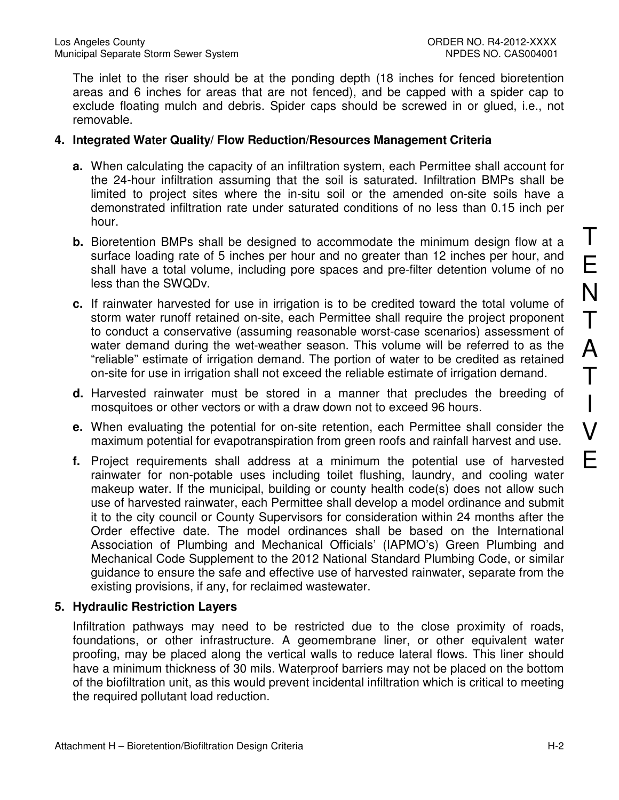The inlet to the riser should be at the ponding depth (18 inches for fenced bioretention areas and 6 inches for areas that are not fenced), and be capped with a spider cap to exclude floating mulch and debris. Spider caps should be screwed in or glued, i.e., not removable.

#### **4. Integrated Water Quality/ Flow Reduction/Resources Management Criteria**

- **a.** When calculating the capacity of an infiltration system, each Permittee shall account for the 24-hour infiltration assuming that the soil is saturated. Infiltration BMPs shall be limited to project sites where the in-situ soil or the amended on-site soils have a demonstrated infiltration rate under saturated conditions of no less than 0.15 inch per hour.
- **b.** Bioretention BMPs shall be designed to accommodate the minimum design flow at a surface loading rate of 5 inches per hour and no greater than 12 inches per hour, and shall have a total volume, including pore spaces and pre-filter detention volume of no less than the SWQDv.
- **c.** If rainwater harvested for use in irrigation is to be credited toward the total volume of storm water runoff retained on-site, each Permittee shall require the project proponent to conduct a conservative (assuming reasonable worst-case scenarios) assessment of water demand during the wet-weather season. This volume will be referred to as the "reliable" estimate of irrigation demand. The portion of water to be credited as retained on-site for use in irrigation shall not exceed the reliable estimate of irrigation demand.
- **d.** Harvested rainwater must be stored in a manner that precludes the breeding of mosquitoes or other vectors or with a draw down not to exceed 96 hours.
- **e.** When evaluating the potential for on-site retention, each Permittee shall consider the maximum potential for evapotranspiration from green roofs and rainfall harvest and use.
- **f.** Project requirements shall address at a minimum the potential use of harvested rainwater for non-potable uses including toilet flushing, laundry, and cooling water makeup water. If the municipal, building or county health code(s) does not allow such use of harvested rainwater, each Permittee shall develop a model ordinance and submit it to the city council or County Supervisors for consideration within 24 months after the Order effective date. The model ordinances shall be based on the International Association of Plumbing and Mechanical Officials' (IAPMO's) Green Plumbing and Mechanical Code Supplement to the 2012 National Standard Plumbing Code, or similar guidance to ensure the safe and effective use of harvested rainwater, separate from the existing provisions, if any, for reclaimed wastewater.

## **5. Hydraulic Restriction Layers**

Infiltration pathways may need to be restricted due to the close proximity of roads, foundations, or other infrastructure. A geomembrane liner, or other equivalent water proofing, may be placed along the vertical walls to reduce lateral flows. This liner should have a minimum thickness of 30 mils. Waterproof barriers may not be placed on the bottom of the biofiltration unit, as this would prevent incidental infiltration which is critical to meeting the required pollutant load reduction.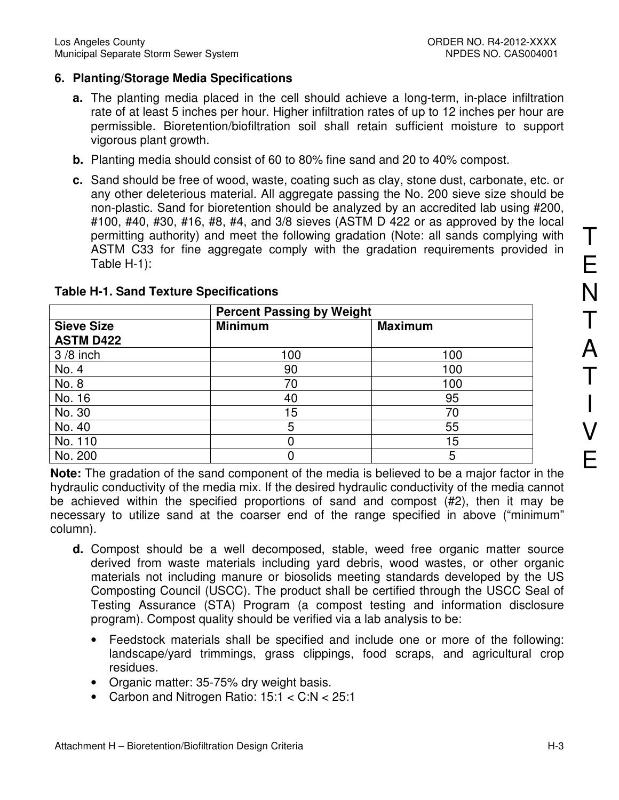## **6. Planting/Storage Media Specifications**

- **a.** The planting media placed in the cell should achieve a long-term, in-place infiltration rate of at least 5 inches per hour. Higher infiltration rates of up to 12 inches per hour are permissible. Bioretention/biofiltration soil shall retain sufficient moisture to support vigorous plant growth.
- **b.** Planting media should consist of 60 to 80% fine sand and 20 to 40% compost.
- **c.** Sand should be free of wood, waste, coating such as clay, stone dust, carbonate, etc. or any other deleterious material. All aggregate passing the No. 200 sieve size should be non-plastic. Sand for bioretention should be analyzed by an accredited lab using #200, #100, #40, #30, #16, #8, #4, and 3/8 sieves (ASTM D 422 or as approved by the local permitting authority) and meet the following gradation (Note: all sands complying with ASTM C33 for fine aggregate comply with the gradation requirements provided in Table H-1):

|                                       | <b>Percent Passing by Weight</b> |                |  |
|---------------------------------------|----------------------------------|----------------|--|
| <b>Sieve Size</b><br><b>ASTM D422</b> | <b>Minimum</b>                   | <b>Maximum</b> |  |
| $3/8$ inch                            | 100                              | 100            |  |
| No. 4                                 | 90                               | 100            |  |
| No. 8                                 | 70                               | 100            |  |
| No. 16                                | 40                               | 95             |  |
| No. 30                                | 15 <sub>1</sub>                  | 70             |  |
| No. 40                                | 5                                | 55             |  |
| No. 110                               |                                  | 15             |  |
| No. 200                               |                                  | 5              |  |

## **Table H-1. Sand Texture Specifications**

**Note:** The gradation of the sand component of the media is believed to be a major factor in the hydraulic conductivity of the media mix. If the desired hydraulic conductivity of the media cannot be achieved within the specified proportions of sand and compost (#2), then it may be necessary to utilize sand at the coarser end of the range specified in above ("minimum" column).

- **d.** Compost should be a well decomposed, stable, weed free organic matter source derived from waste materials including yard debris, wood wastes, or other organic materials not including manure or biosolids meeting standards developed by the US Composting Council (USCC). The product shall be certified through the USCC Seal of Testing Assurance (STA) Program (a compost testing and information disclosure program). Compost quality should be verified via a lab analysis to be:
	- Feedstock materials shall be specified and include one or more of the following: landscape/yard trimmings, grass clippings, food scraps, and agricultural crop residues.
	- Organic matter: 35-75% dry weight basis.
	- Carbon and Nitrogen Ratio: 15:1 < C:N < 25:1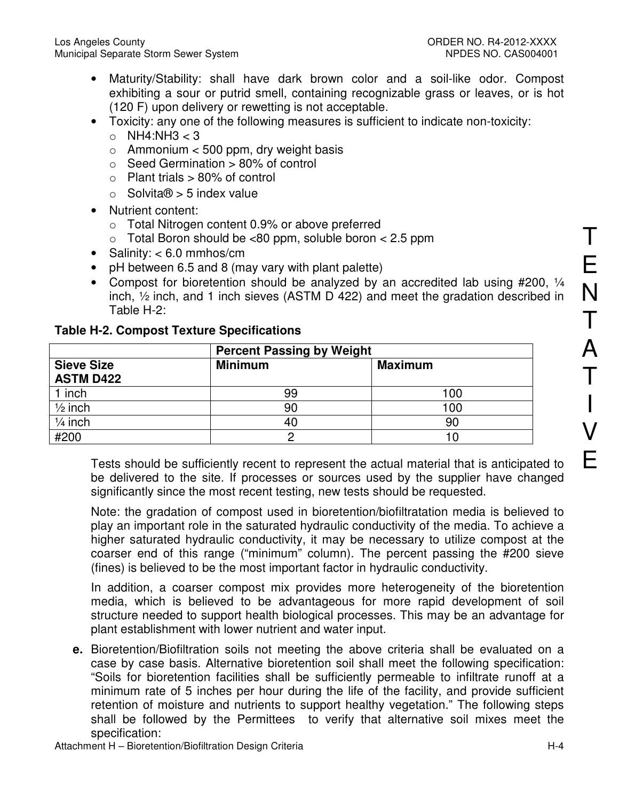- Maturity/Stability: shall have dark brown color and a soil-like odor. Compost exhibiting a sour or putrid smell, containing recognizable grass or leaves, or is hot (120 F) upon delivery or rewetting is not acceptable.
- Toxicity: any one of the following measures is sufficient to indicate non-toxicity:
	- $\circ$  NH4:NH3 < 3
	- $\circ$  Ammonium < 500 ppm, dry weight basis
	- $\circ$  Seed Germination  $> 80\%$  of control
	- $\circ$  Plant trials  $> 80\%$  of control
	- $\circ$  Solvita $\theta$  > 5 index value
- Nutrient content:
	- o Total Nitrogen content 0.9% or above preferred
	- $\circ$  Total Boron should be <80 ppm, soluble boron < 2.5 ppm
- Salinity: < 6.0 mmhos/cm
- pH between 6.5 and 8 (may vary with plant palette)
- Compost for bioretention should be analyzed by an accredited lab using #200, 1/4 inch, ½ inch, and 1 inch sieves (ASTM D 422) and meet the gradation described in Table H-2:

|                                       | <b>Percent Passing by Weight</b> |         |  |
|---------------------------------------|----------------------------------|---------|--|
| <b>Sieve Size</b><br><b>ASTM D422</b> | <b>Minimum</b>                   | Maximum |  |
| 1 inch                                | 99                               | 100     |  |
| $\frac{1}{2}$ inch                    | 90                               | 100     |  |
| $1/4$ inch                            | 40                               | 90      |  |
| #200                                  |                                  | 10      |  |

## **Table H-2. Compost Texture Specifications**

Tests should be sufficiently recent to represent the actual material that is anticipated to be delivered to the site. If processes or sources used by the supplier have changed significantly since the most recent testing, new tests should be requested.

Note: the gradation of compost used in bioretention/biofiltratation media is believed to play an important role in the saturated hydraulic conductivity of the media. To achieve a higher saturated hydraulic conductivity, it may be necessary to utilize compost at the coarser end of this range ("minimum" column). The percent passing the #200 sieve (fines) is believed to be the most important factor in hydraulic conductivity.

In addition, a coarser compost mix provides more heterogeneity of the bioretention media, which is believed to be advantageous for more rapid development of soil structure needed to support health biological processes. This may be an advantage for plant establishment with lower nutrient and water input.

**e.** Bioretention/Biofiltration soils not meeting the above criteria shall be evaluated on a case by case basis. Alternative bioretention soil shall meet the following specification: "Soils for bioretention facilities shall be sufficiently permeable to infiltrate runoff at a minimum rate of 5 inches per hour during the life of the facility, and provide sufficient retention of moisture and nutrients to support healthy vegetation." The following steps shall be followed by the Permittees to verify that alternative soil mixes meet the specification:

T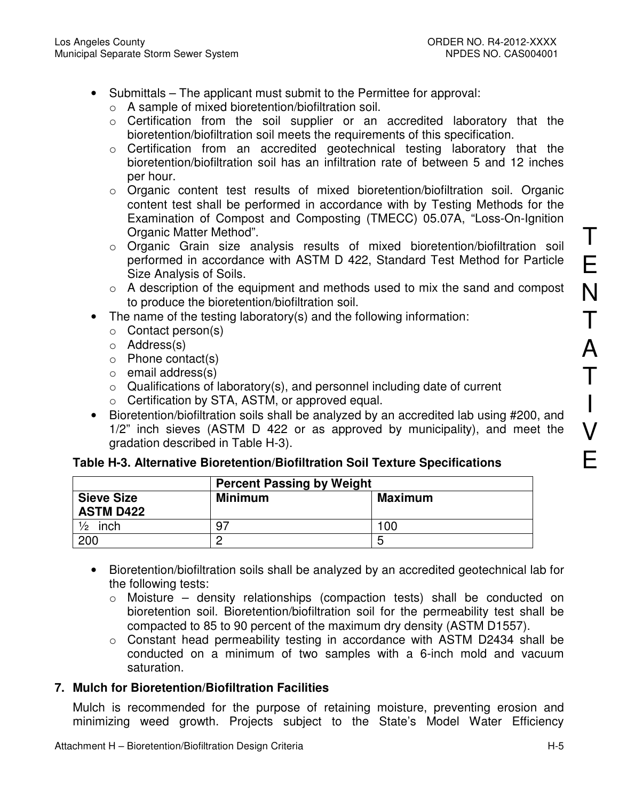- Submittals The applicant must submit to the Permittee for approval:
	- o A sample of mixed bioretention/biofiltration soil.
	- o Certification from the soil supplier or an accredited laboratory that the bioretention/biofiltration soil meets the requirements of this specification.
	- o Certification from an accredited geotechnical testing laboratory that the bioretention/biofiltration soil has an infiltration rate of between 5 and 12 inches per hour.
	- o Organic content test results of mixed bioretention/biofiltration soil. Organic content test shall be performed in accordance with by Testing Methods for the Examination of Compost and Composting (TMECC) 05.07A, "Loss-On-Ignition Organic Matter Method".
	- o Organic Grain size analysis results of mixed bioretention/biofiltration soil performed in accordance with ASTM D 422, Standard Test Method for Particle Size Analysis of Soils.
	- $\circ$  A description of the equipment and methods used to mix the sand and compost to produce the bioretention/biofiltration soil.
- The name of the testing laboratory(s) and the following information:
	- o Contact person(s)
	- o Address(s)
	- o Phone contact(s)
	- o email address(s)
	- $\circ$  Qualifications of laboratory(s), and personnel including date of current
	- o Certification by STA, ASTM, or approved equal.
- Bioretention/biofiltration soils shall be analyzed by an accredited lab using #200, and 1/2" inch sieves (ASTM D 422 or as approved by municipality), and meet the gradation described in Table H-3).

# **Table H-3. Alternative Bioretention/Biofiltration Soil Texture Specifications**

|                                       | <b>Percent Passing by Weight</b> |                |  |
|---------------------------------------|----------------------------------|----------------|--|
| <b>Sieve Size</b><br><b>ASTM D422</b> | <b>Minimum</b>                   | <b>Maximum</b> |  |
| $\frac{1}{2}$<br>inch                 | -97                              | 100            |  |
| 200                                   |                                  | ∽              |  |

- Bioretention/biofiltration soils shall be analyzed by an accredited geotechnical lab for the following tests:
	- o Moisture density relationships (compaction tests) shall be conducted on bioretention soil. Bioretention/biofiltration soil for the permeability test shall be compacted to 85 to 90 percent of the maximum dry density (ASTM D1557).
	- o Constant head permeability testing in accordance with ASTM D2434 shall be conducted on a minimum of two samples with a 6-inch mold and vacuum saturation.

# **7. Mulch for Bioretention/Biofiltration Facilities**

Mulch is recommended for the purpose of retaining moisture, preventing erosion and minimizing weed growth. Projects subject to the State's Model Water Efficiency